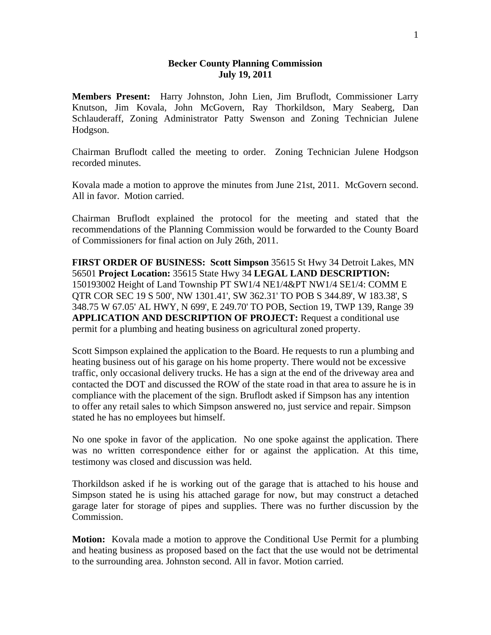## **Becker County Planning Commission July 19, 2011**

**Members Present:** Harry Johnston, John Lien, Jim Bruflodt, Commissioner Larry Knutson, Jim Kovala, John McGovern, Ray Thorkildson, Mary Seaberg, Dan Schlauderaff, Zoning Administrator Patty Swenson and Zoning Technician Julene Hodgson.

Chairman Bruflodt called the meeting to order. Zoning Technician Julene Hodgson recorded minutes.

Kovala made a motion to approve the minutes from June 21st, 2011. McGovern second. All in favor. Motion carried.

Chairman Bruflodt explained the protocol for the meeting and stated that the recommendations of the Planning Commission would be forwarded to the County Board of Commissioners for final action on July 26th, 2011.

**FIRST ORDER OF BUSINESS: Scott Simpson** 35615 St Hwy 34 Detroit Lakes, MN 56501 **Project Location:** 35615 State Hwy 34 **LEGAL LAND DESCRIPTION:** 150193002 Height of Land Township PT SW1/4 NE1/4&PT NW1/4 SE1/4: COMM E QTR COR SEC 19 S 500', NW 1301.41', SW 362.31' TO POB S 344.89', W 183.38', S 348.75 W 67.05' AL HWY, N 699', E 249.70' TO POB, Section 19, TWP 139, Range 39 **APPLICATION AND DESCRIPTION OF PROJECT:** Request a conditional use permit for a plumbing and heating business on agricultural zoned property.

Scott Simpson explained the application to the Board. He requests to run a plumbing and heating business out of his garage on his home property. There would not be excessive traffic, only occasional delivery trucks. He has a sign at the end of the driveway area and contacted the DOT and discussed the ROW of the state road in that area to assure he is in compliance with the placement of the sign. Bruflodt asked if Simpson has any intention to offer any retail sales to which Simpson answered no, just service and repair. Simpson stated he has no employees but himself.

No one spoke in favor of the application. No one spoke against the application. There was no written correspondence either for or against the application. At this time, testimony was closed and discussion was held.

Thorkildson asked if he is working out of the garage that is attached to his house and Simpson stated he is using his attached garage for now, but may construct a detached garage later for storage of pipes and supplies. There was no further discussion by the Commission.

**Motion:** Kovala made a motion to approve the Conditional Use Permit for a plumbing and heating business as proposed based on the fact that the use would not be detrimental to the surrounding area. Johnston second. All in favor. Motion carried.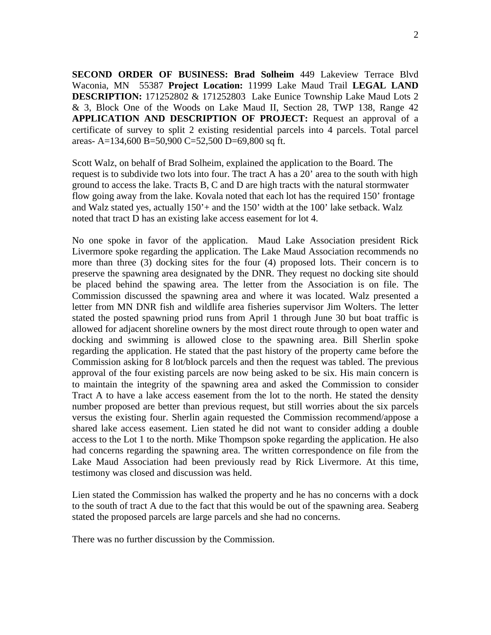**SECOND ORDER OF BUSINESS: Brad Solheim** 449 Lakeview Terrace Blvd Waconia, MN 55387 **Project Location:** 11999 Lake Maud Trail **LEGAL LAND DESCRIPTION:** 171252802 & 171252803 Lake Eunice Township Lake Maud Lots 2 & 3, Block One of the Woods on Lake Maud II, Section 28, TWP 138, Range 42 **APPLICATION AND DESCRIPTION OF PROJECT:** Request an approval of a certificate of survey to split 2 existing residential parcels into 4 parcels. Total parcel areas- A=134,600 B=50,900 C=52,500 D=69,800 sq ft.

Scott Walz, on behalf of Brad Solheim, explained the application to the Board. The request is to subdivide two lots into four. The tract A has a 20' area to the south with high ground to access the lake. Tracts B, C and D are high tracts with the natural stormwater flow going away from the lake. Kovala noted that each lot has the required 150' frontage and Walz stated yes, actually  $150'$  + and the 150' width at the 100' lake setback. Walz noted that tract D has an existing lake access easement for lot 4.

No one spoke in favor of the application. Maud Lake Association president Rick Livermore spoke regarding the application. The Lake Maud Association recommends no more than three (3) docking sites for the four (4) proposed lots. Their concern is to preserve the spawning area designated by the DNR. They request no docking site should be placed behind the spawing area. The letter from the Association is on file. The Commission discussed the spawning area and where it was located. Walz presented a letter from MN DNR fish and wildlife area fisheries supervisor Jim Wolters. The letter stated the posted spawning priod runs from April 1 through June 30 but boat traffic is allowed for adjacent shoreline owners by the most direct route through to open water and docking and swimming is allowed close to the spawning area. Bill Sherlin spoke regarding the application. He stated that the past history of the property came before the Commission asking for 8 lot/block parcels and then the request was tabled. The previous approval of the four existing parcels are now being asked to be six. His main concern is to maintain the integrity of the spawning area and asked the Commission to consider Tract A to have a lake access easement from the lot to the north. He stated the density number proposed are better than previous request, but still worries about the six parcels versus the existing four. Sherlin again requested the Commission recommend/appose a shared lake access easement. Lien stated he did not want to consider adding a double access to the Lot 1 to the north. Mike Thompson spoke regarding the application. He also had concerns regarding the spawning area. The written correspondence on file from the Lake Maud Association had been previously read by Rick Livermore. At this time, testimony was closed and discussion was held.

Lien stated the Commission has walked the property and he has no concerns with a dock to the south of tract A due to the fact that this would be out of the spawning area. Seaberg stated the proposed parcels are large parcels and she had no concerns.

There was no further discussion by the Commission.